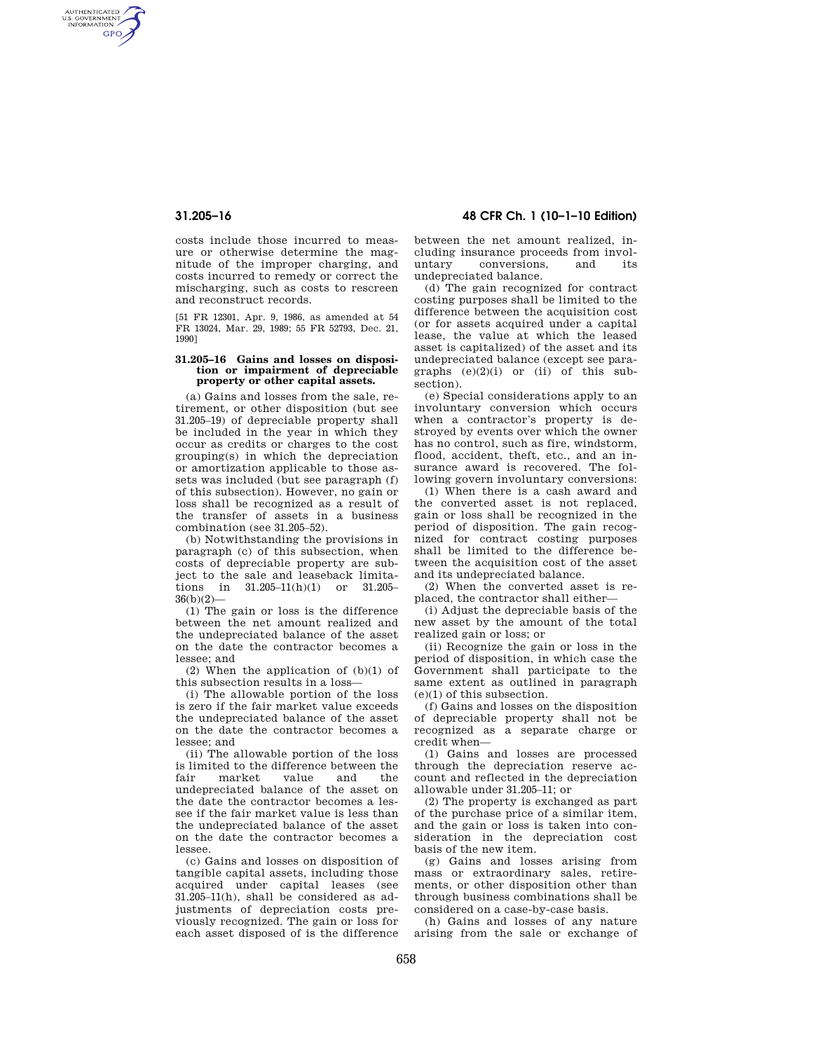AUTHENTICATED<br>U.S. GOVERNMENT<br>INFORMATION **GPO** 

> costs include those incurred to measure or otherwise determine the magnitude of the improper charging, and costs incurred to remedy or correct the mischarging, such as costs to rescreen and reconstruct records.

[51 FR 12301, Apr. 9, 1986, as amended at 54 FR 13024, Mar. 29, 1989; 55 FR 52793, Dec. 21, 1990]

### **31.205–16 Gains and losses on disposition or impairment of depreciable property or other capital assets.**

(a) Gains and losses from the sale, retirement, or other disposition (but see 31.205–19) of depreciable property shall be included in the year in which they occur as credits or charges to the cost grouping(s) in which the depreciation or amortization applicable to those assets was included (but see paragraph (f) of this subsection). However, no gain or loss shall be recognized as a result of the transfer of assets in a business combination (see 31.205–52).

(b) Notwithstanding the provisions in paragraph (c) of this subsection, when costs of depreciable property are subject to the sale and leaseback limitations in 31.205–11(h)(1) or 31.205–  $36(b)(2)$ 

(1) The gain or loss is the difference between the net amount realized and the undepreciated balance of the asset on the date the contractor becomes a lessee; and

(2) When the application of (b)(1) of this subsection results in a loss—

(i) The allowable portion of the loss is zero if the fair market value exceeds the undepreciated balance of the asset on the date the contractor becomes a lessee; and

(ii) The allowable portion of the loss is limited to the difference between the fair market value and the undepreciated balance of the asset on the date the contractor becomes a lessee if the fair market value is less than the undepreciated balance of the asset on the date the contractor becomes a lessee.

(c) Gains and losses on disposition of tangible capital assets, including those acquired under capital leases (see  $31.205-11(h)$ , shall be considered as adjustments of depreciation costs previously recognized. The gain or loss for each asset disposed of is the difference

# **31.205–16 48 CFR Ch. 1 (10–1–10 Edition)**

between the net amount realized, including insurance proceeds from involuntary conversions, and its undepreciated balance.

(d) The gain recognized for contract costing purposes shall be limited to the difference between the acquisition cost (or for assets acquired under a capital lease, the value at which the leased asset is capitalized) of the asset and its undepreciated balance (except see paragraphs  $(e)(2)(i)$  or (ii) of this subsection).

(e) Special considerations apply to an involuntary conversion which occurs when a contractor's property is destroyed by events over which the owner has no control, such as fire, windstorm, flood, accident, theft, etc., and an insurance award is recovered. The following govern involuntary conversions:

(1) When there is a cash award and the converted asset is not replaced, gain or loss shall be recognized in the period of disposition. The gain recognized for contract costing purposes shall be limited to the difference between the acquisition cost of the asset and its undepreciated balance.

(2) When the converted asset is replaced, the contractor shall either—

(i) Adjust the depreciable basis of the new asset by the amount of the total realized gain or loss; or

(ii) Recognize the gain or loss in the period of disposition, in which case the Government shall participate to the same extent as outlined in paragraph (e)(1) of this subsection.

(f) Gains and losses on the disposition of depreciable property shall not be recognized as a separate charge or credit when—

(1) Gains and losses are processed through the depreciation reserve account and reflected in the depreciation allowable under 31.205–11; or

(2) The property is exchanged as part of the purchase price of a similar item, and the gain or loss is taken into consideration in the depreciation cost basis of the new item.

(g) Gains and losses arising from mass or extraordinary sales, retirements, or other disposition other than through business combinations shall be considered on a case-by-case basis.

(h) Gains and losses of any nature arising from the sale or exchange of